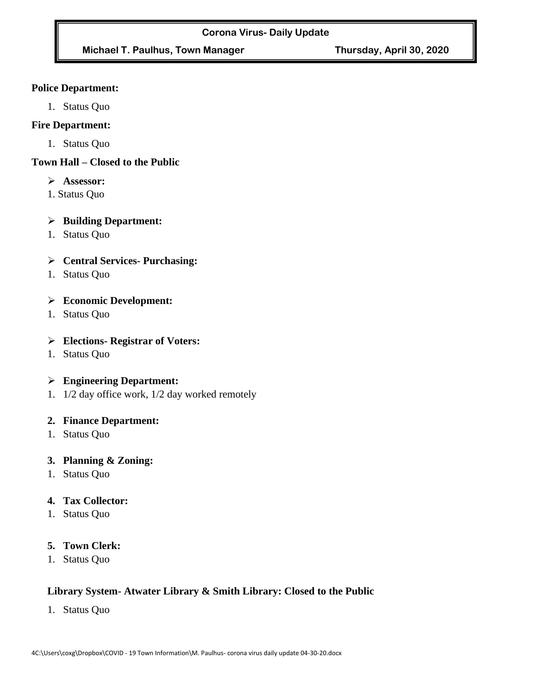# **Michael T. Paulhus, Town Manager Thursday, April 30, 2020**

#### **Police Department:**

1. Status Quo

#### **Fire Department:**

1. Status Quo

#### **Town Hall – Closed to the Public**

- ➢ **Assessor:**
- 1. Status Quo

## ➢ **Building Department:**

1. Status Quo

## ➢ **Central Services- Purchasing:**

1. Status Quo

## ➢ **Economic Development:**

1. Status Quo

#### ➢ **Elections- Registrar of Voters:**

1. Status Quo

## ➢ **Engineering Department:**

1. 1/2 day office work, 1/2 day worked remotely

## **2. Finance Department:**

1. Status Quo

## **3. Planning & Zoning:**

1. Status Quo

## **4. Tax Collector:**

1. Status Quo

## **5. Town Clerk:**

1. Status Quo

## **Library System- Atwater Library & Smith Library: Closed to the Public**

1. Status Quo